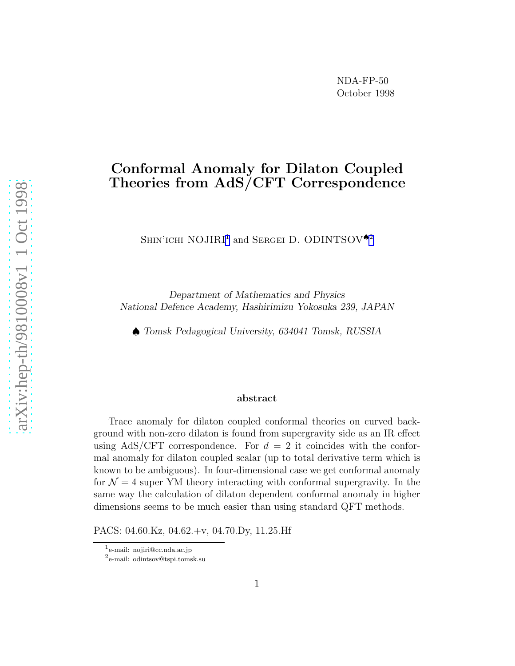## Conformal Anomaly for Dilaton Coupled Theories from AdS/CFT Correspondence

SHIN'ICHI NOJIRI<sup>1</sup> and SERGEI D. ODINTSOV<sup>42</sup>

Department of Mathematics and Physics National Defence Academy, Hashirimizu Yokosuka 239, JAPAN

♠ Tomsk Pedagogical University, 634041 Tomsk, RUSSIA

## abstract

Trace anomaly for dilaton coupled conformal theories on curved background with non-zero dilaton is found from supergravity side as an IR effect using AdS/CFT correspondence. For  $d = 2$  it coincides with the conformal anomaly for dilaton coupled scalar (up to total derivative term which is known to be ambiguous). In four-dimensional case we get conformal anomaly for  $\mathcal{N}=4$  super YM theory interacting with conformal supergravity. In the same way the calculation of dilaton dependent conformal anomaly in higher dimensions seems to be much easier than using standard QFT methods.

PACS: 04.60.Kz, 04.62.+v, 04.70.Dy, 11.25.Hf

<sup>1</sup> e-mail: nojiri@cc.nda.ac.jp

<sup>2</sup> e-mail: odintsov@tspi.tomsk.su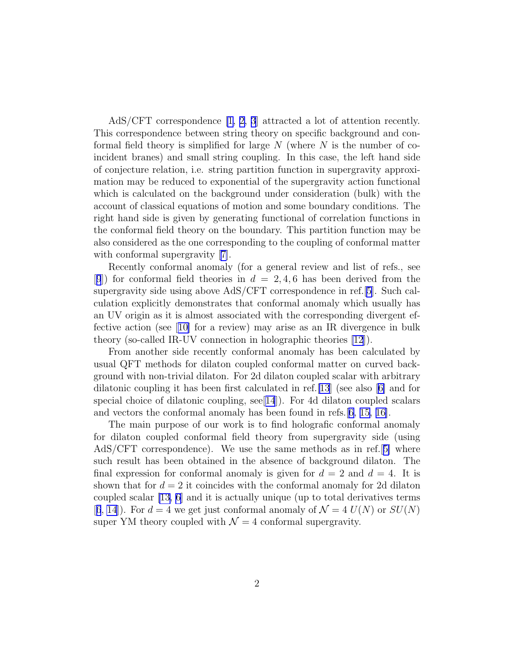AdS/CFT correspondence [\[1](#page-8-0), [2, 3](#page-8-0)] attracted a lot of attention recently. This correspondence between string theory on specific background and conformal field theory is simplified for large  $N$  (where  $N$  is the number of coincident branes) and small string coupling. In this case, the left hand side of conjecture relation, i.e. string partition function in supergravity approximation may be reduced to exponential of the supergravity action functional which is calculated on the background under consideration (bulk) with the account of classical equations of motion and some boundary conditions. The right hand side is given by generating functional of correlation functions in the conformal field theory on the boundary. This partition function may be also considered as the one corresponding to the coupling of conformal matter withconformal supergravity [[7\]](#page-8-0).

Recently conformal anomaly (for a general review and list of refs., see [[9](#page-8-0)]) for conformal field theories in  $d = 2, 4, 6$  has been derived from the supergravity side using above AdS/CFT correspondence in ref.[\[5\]](#page-8-0). Such calculation explicitly demonstrates that conformal anomaly which usually has an UV origin as it is almost associated with the corresponding divergent effective action (see[[10\]](#page-8-0) for a review) may arise as an IR divergence in bulk theory (so-called IR-UV connection in holographic theories [\[12](#page-8-0)]).

From another side recently conformal anomaly has been calculated by usual QFT methods for dilaton coupled conformal matter on curved background with non-trivial dilaton. For 2d dilaton coupled scalar with arbitrary dilatonic coupling it has been first calculated in ref.[\[13](#page-8-0)] (see also[[6\]](#page-8-0) and for special choice of dilatonic coupling,  $\sec[14]$  $\sec[14]$  $\sec[14]$ . For 4d dilaton coupled scalars and vectors the conformal anomaly has been found in refs.[[6,](#page-8-0) [15, 16\]](#page-9-0).

The main purpose of our work is to find holografic conformal anomaly for dilaton coupled conformal field theory from supergravity side (using AdS/CFT correspondence). We use the same methods as in ref.[[5\]](#page-8-0) where such result has been obtained in the absence of background dilaton. The final expression for conformal anomaly is given for  $d = 2$  and  $d = 4$ . It is shown that for  $d = 2$  it coincides with the conformal anomaly for 2d dilaton coupled scalar [\[13](#page-8-0), [6\]](#page-8-0) and it is actually unique (up to total derivatives terms [[6](#page-8-0), [14\]](#page-8-0)). For  $d = 4$  we get just conformal anomaly of  $\mathcal{N} = 4$   $U(N)$  or  $SU(N)$ super YM theory coupled with  $\mathcal{N} = 4$  conformal supergravity.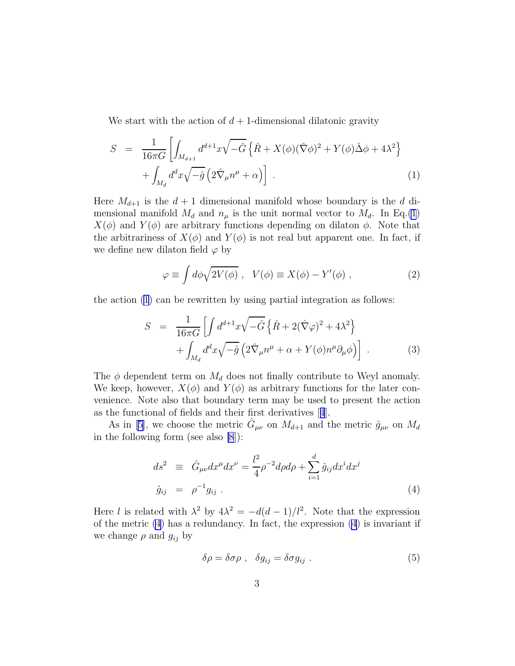<span id="page-2-0"></span>We start with the action of  $d+1$ -dimensional dilatonic gravity

$$
S = \frac{1}{16\pi G} \left[ \int_{M_{d+1}} d^{d+1}x \sqrt{-\hat{G}} \left\{ \hat{R} + X(\phi)(\hat{\nabla}\phi)^2 + Y(\phi)\hat{\Delta}\phi + 4\lambda^2 \right\} \right. \\ \left. + \int_{M_d} d^d x \sqrt{-\hat{g}} \left( 2\hat{\nabla}_\mu n^\mu + \alpha \right) \right] \ . \tag{1}
$$

Here  $M_{d+1}$  is the  $d+1$  dimensional manifold whose boundary is the d dimensional manifold  $M_d$  and  $n_\mu$  is the unit normal vector to  $M_d$ . In Eq.(1)  $X(\phi)$  and  $Y(\phi)$  are arbitrary functions depending on dilaton  $\phi$ . Note that the arbitrariness of  $X(\phi)$  and  $Y(\phi)$  is not real but apparent one. In fact, if we define new dilaton field  $\varphi$  by

$$
\varphi \equiv \int d\phi \sqrt{2V(\phi)} \ , \quad V(\phi) \equiv X(\phi) - Y'(\phi) \ , \tag{2}
$$

the action (1) can be rewritten by using partial integration as follows:

$$
S = \frac{1}{16\pi G} \left[ \int d^{d+1}x \sqrt{-\hat{G}} \left\{ \hat{R} + 2(\hat{\nabla}\varphi)^2 + 4\lambda^2 \right\} \right. \\ \left. + \int_{M_d} d^d x \sqrt{-\hat{g}} \left( 2\hat{\nabla}_\mu n^\mu + \alpha + Y(\phi)n^\mu \partial_\mu \phi \right) \right] \,. \tag{3}
$$

The  $\phi$  dependent term on  $M_d$  does not finally contribute to Weyl anomaly. We keep, however,  $X(\phi)$  and  $Y(\phi)$  as arbitrary functions for the later convenience. Note also that boundary term may be used to present the action as the functional of fields and their first derivatives[[4](#page-8-0)].

As in [\[5\]](#page-8-0), we choose the metric  $\hat{G}_{\mu\nu}$  on  $M_{d+1}$  and the metric  $\hat{g}_{\mu\nu}$  on  $M_d$ in the following form (see also [\[8](#page-8-0)]):

$$
ds^{2} \equiv \hat{G}_{\mu\nu} dx^{\mu} dx^{\nu} = \frac{l^{2}}{4} \rho^{-2} d\rho d\rho + \sum_{i=1}^{d} \hat{g}_{ij} dx^{i} dx^{j}
$$
  

$$
\hat{g}_{ij} = \rho^{-1} g_{ij} .
$$
 (4)

Here l is related with  $\lambda^2$  by  $4\lambda^2 = -d(d-1)/l^2$ . Note that the expression of the metric (4) has a redundancy. In fact, the expression (4) is invariant if we change  $\rho$  and  $g_{ij}$  by

$$
\delta \rho = \delta \sigma \rho \ , \quad \delta g_{ij} = \delta \sigma g_{ij} \ . \tag{5}
$$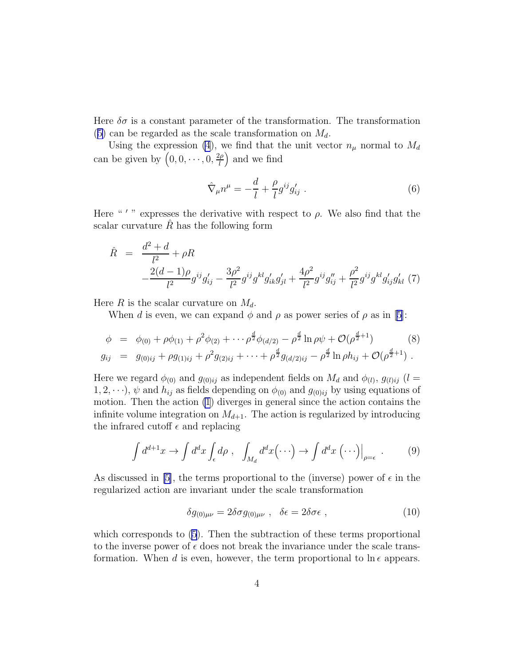<span id="page-3-0"></span>Here  $\delta\sigma$  is a constant parameter of the transformation. The transformation ([5\)](#page-2-0) can be regarded as the scale transformation on  $M_d$ .

Using the expression [\(4](#page-2-0)), we find that the unit vector  $n_{\mu}$  normal to  $M_d$ can be given by  $\left(0,0,\cdots,0,\frac{2\rho}{l}\right)$  $\left(\frac{2\rho}{l}\right)$  and we find

$$
\hat{\nabla}_{\mu}n^{\mu} = -\frac{d}{l} + \frac{\rho}{l}g^{ij}g'_{ij} . \qquad (6)
$$

Here "'" expresses the derivative with respect to  $\rho$ . We also find that the scalar curvature  $\hat{R}$  has the following form

$$
\hat{R} = \frac{d^2 + d}{l^2} + \rho R
$$
  
 
$$
-\frac{2(d-1)\rho}{l^2}g^{ij}g'_{ij} - \frac{3\rho^2}{l^2}g^{ij}g^{kl}g'_{ik}g'_{jl} + \frac{4\rho^2}{l^2}g^{ij}g''_{ij} + \frac{\rho^2}{l^2}g^{ij}g^{kl}g'_{ij}g'_{kl} (7)
$$

Here R is the scalar curvature on  $M_d$ .

Whend is even, we can expand  $\phi$  and  $\rho$  as power series of  $\rho$  as in [[5\]](#page-8-0):

$$
\phi = \phi_{(0)} + \rho \phi_{(1)} + \rho^2 \phi_{(2)} + \cdots + \rho^{\frac{d}{2}} \phi_{(d/2)} - \rho^{\frac{d}{2}} \ln \rho \psi + \mathcal{O}(\rho^{\frac{d}{2}+1}) \qquad (8)
$$
  
\n
$$
g_{ij} = g_{(0)ij} + \rho g_{(1)ij} + \rho^2 g_{(2)ij} + \cdots + \rho^{\frac{d}{2}} g_{(d/2)ij} - \rho^{\frac{d}{2}} \ln \rho h_{ij} + \mathcal{O}(\rho^{\frac{d}{2}+1}) .
$$

Here we regard  $\phi_{(0)}$  and  $g_{(0)ij}$  as independent fields on  $M_d$  and  $\phi_{(l)}$ ,  $g_{(l)ij}$  ( $l =$  $1, 2, \dots$ ,  $\psi$  and  $h_{ij}$  as fields depending on  $\phi_{(0)}$  and  $g_{(0)ij}$  by using equations of motion. Then the action [\(1](#page-2-0)) diverges in general since the action contains the infinite volume integration on  $M_{d+1}$ . The action is regularized by introducing the infrared cutoff  $\epsilon$  and replacing

$$
\int d^{d+1}x \to \int d^d x \int_{\epsilon} d\rho \ , \quad \int_{M_d} d^d x (\cdots) \to \int d^d x \ (\cdots) \Big|_{\rho = \epsilon} \ . \tag{9}
$$

As discussed in [\[5](#page-8-0)], the terms proportional to the (inverse) power of  $\epsilon$  in the regularized action are invariant under the scale transformation

$$
\delta g_{(0)\mu\nu} = 2\delta\sigma g_{(0)\mu\nu} \ , \quad \delta\epsilon = 2\delta\sigma\epsilon \ , \tag{10}
$$

which corresponds to [\(5](#page-2-0)). Then the subtraction of these terms proportional to the inverse power of  $\epsilon$  does not break the invariance under the scale transformation. When d is even, however, the term proportional to  $\ln \epsilon$  appears.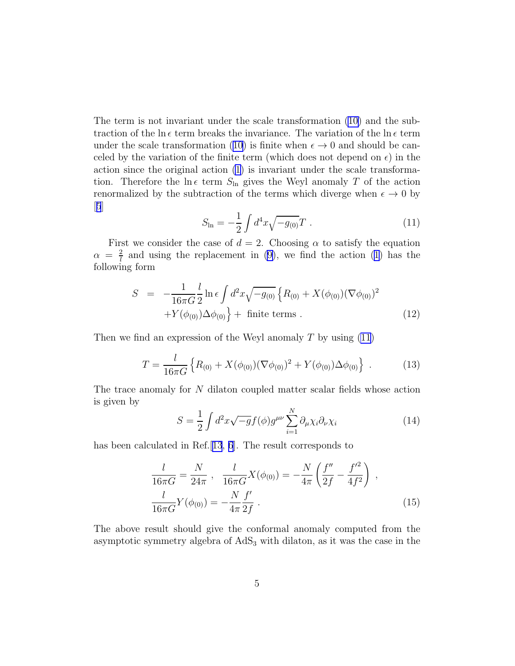<span id="page-4-0"></span>The term is not invariant under the scale transformation [\(10\)](#page-3-0) and the subtraction of the ln  $\epsilon$  term breaks the invariance. The variation of the ln  $\epsilon$  term under the scale transformation [\(10\)](#page-3-0) is finite when  $\epsilon \to 0$  and should be canceled by the variation of the finite term (which does not depend on  $\epsilon$ ) in the action since the original action [\(1](#page-2-0)) is invariant under the scale transformation. Therefore the ln  $\epsilon$  term  $S_{\text{ln}}$  gives the Weyl anomaly T of the action renormalized by the subtraction of the terms which diverge when  $\epsilon \to 0$  by  $|5|$  $|5|$  $|5|$ 

$$
S_{\ln} = -\frac{1}{2} \int d^4x \sqrt{-g_{(0)}} T . \qquad (11)
$$

First we consider the case of  $d = 2$ . Choosing  $\alpha$  to satisfy the equation  $\alpha = \frac{2}{l}$  $\frac{2}{l}$  and using the replacement in [\(9\)](#page-3-0), we find the action [\(1\)](#page-2-0) has the following form

$$
S = -\frac{1}{16\pi G} \frac{l}{2} \ln \epsilon \int d^2 x \sqrt{-g_{(0)}} \left\{ R_{(0)} + X(\phi_{(0)})(\nabla \phi_{(0)})^2 + Y(\phi_{(0)})\Delta \phi_{(0)} \right\} + \text{finite terms} . \tag{12}
$$

Then we find an expression of the Weyl anomaly  $T$  by using  $(11)$ 

$$
T = \frac{l}{16\pi G} \left\{ R_{(0)} + X(\phi_{(0)})(\nabla \phi_{(0)})^2 + Y(\phi_{(0)})\Delta \phi_{(0)} \right\} \ . \tag{13}
$$

The trace anomaly for N dilaton coupled matter scalar fields whose action is given by

$$
S = \frac{1}{2} \int d^2x \sqrt{-g} f(\phi) g^{\mu\nu} \sum_{i=1}^{N} \partial_{\mu} \chi_i \partial_{\nu} \chi_i
$$
 (14)

has been calculated in Ref. [[13](#page-8-0), [6](#page-8-0)]. The result corresponds to

$$
\frac{l}{16\pi G} = \frac{N}{24\pi} , \frac{l}{16\pi G} X(\phi_{(0)}) = -\frac{N}{4\pi} \left( \frac{f''}{2f} - \frac{f'^2}{4f^2} \right) ,
$$
  

$$
\frac{l}{16\pi G} Y(\phi_{(0)}) = -\frac{N}{4\pi} \frac{f'}{2f} .
$$
 (15)

The above result should give the conformal anomaly computed from the asymptotic symmetry algebra of  $AdS<sub>3</sub>$  with dilaton, as it was the case in the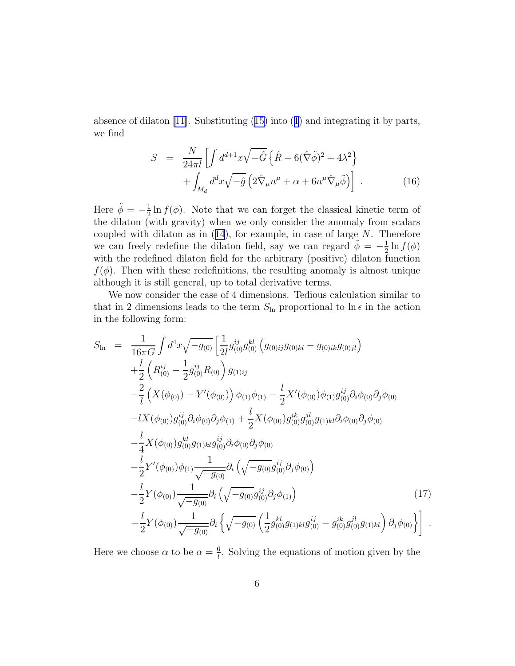<span id="page-5-0"></span>absenceof dilaton  $[11]$  $[11]$  $[11]$ . Substituting  $(15)$  $(15)$  $(15)$  into  $(1)$  and integrating it by parts, we find

$$
S = \frac{N}{24\pi l} \left[ \int d^{d+1}x \sqrt{-\hat{G}} \left\{ \hat{R} - 6(\hat{\nabla}\tilde{\phi})^2 + 4\lambda^2 \right\} \right. \\ \left. + \int_{M_d} d^d x \sqrt{-\hat{g}} \left( 2\hat{\nabla}_{\mu}n^{\mu} + \alpha + 6n^{\mu}\hat{\nabla}_{\mu}\tilde{\phi} \right) \right] \ . \tag{16}
$$

Here  $\tilde{\phi} = -\frac{1}{2}$  $\frac{1}{2} \ln f(\phi)$ . Note that we can forget the classical kinetic term of the dilaton (with gravity) when we only consider the anomaly from scalars coupledwith dilaton as in  $(14)$  $(14)$  $(14)$ , for example, in case of large N. Therefore we can freely redefine the dilaton field, say we can regard  $\tilde{\phi} = -\frac{1}{2}$  $\frac{1}{2}\ln f(\phi)$ with the redefined dilaton field for the arbitrary (positive) dilaton function  $f(\phi)$ . Then with these redefinitions, the resulting anomaly is almost unique although it is still general, up to total derivative terms.

We now consider the case of 4 dimensions. Tedious calculation similar to that in 2 dimensions leads to the term  $S_{\ln}$  proportional to  $\ln \epsilon$  in the action in the following form:

$$
S_{\text{In}} = \frac{1}{16\pi G} \int d^4x \sqrt{-g_{(0)}} \left[ \frac{1}{2l} g_{(0)}^{ij} g_{(0)}^{kl} (g_{(0)ij} g_{(0)kl} - g_{(0)ik} g_{(0)jl}) \right. \\ + \frac{l}{2} \left( R_{(0)}^{ij} - \frac{1}{2} g_{(0)}^{ij} R_{(0)} \right) g_{(1)ij} \\ - \frac{2}{l} \left( X(\phi_{(0)}) - Y'(\phi_{(0)}) \right) \phi_{(1)} \phi_{(1)} - \frac{l}{2} X'(\phi_{(0)}) \phi_{(1)} g_{(0)}^{ij} \partial_i \phi_{(0)} \partial_j \phi_{(0)} \\ - lX(\phi_{(0)}) g_{(0)}^{ij} \partial_i \phi_{(0)} \partial_j \phi_{(1)} + \frac{l}{2} X(\phi_{(0)}) g_{(0)}^{ik} g_{(0)}^{jl} g_{(1)kl} \partial_i \phi_{(0)} \partial_j \phi_{(0)} \\ - \frac{l}{4} X(\phi_{(0)}) g_{(0)}^{kl} g_{(1)kl} g_{(0)}^{ij} \partial_i \phi_{(0)} \partial_j \phi_{(0)} \\ - \frac{l}{2} Y'(\phi_{(0)}) \phi_{(1)} \frac{1}{\sqrt{-g_{(0)}}} \partial_i \left( \sqrt{-g_{(0)}} g_{(0)}^{ij} \partial_j \phi_{(0)} \right) \\ - \frac{l}{2} Y(\phi_{(0)}) \frac{1}{\sqrt{-g_{(0)}}} \partial_i \left( \sqrt{-g_{(0)}} g_{(0)}^{ij} \partial_j \phi_{(1)} \right) \qquad (17) \\ - \frac{l}{2} Y(\phi_{(0)}) \frac{1}{\sqrt{-g_{(0)}}} \partial_i \left( \sqrt{-g_{(0)}} \left( \frac{1}{2} g_{(0)}^{kl} g_{(1)kl} g_{(0)}^{ij} - g_{(0)}^{ik} g_{(0)}^{jl} g_{(1)kl} \right) \partial_j \phi_{(0)} \right) \right].
$$

Here we choose  $\alpha$  to be  $\alpha = \frac{6}{l}$  $\frac{6}{l}$ . Solving the equations of motion given by the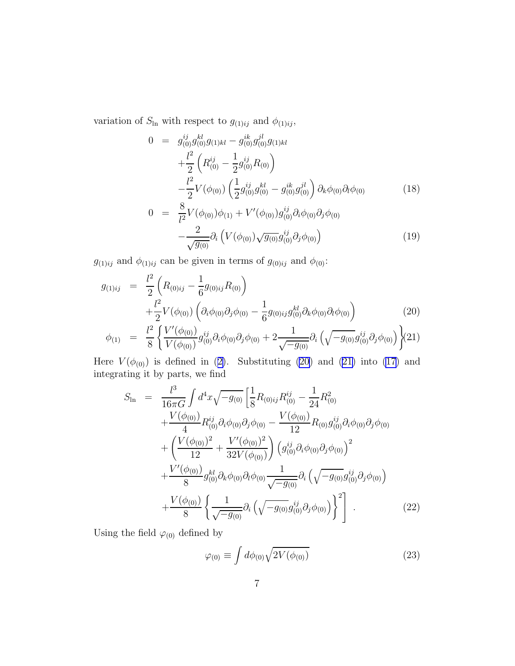<span id="page-6-0"></span>variation of  $S_{\text{ln}}$  with respect to  $g_{(1)ij}$  and  $\phi_{(1)ij}$ ,

$$
0 = g_{(0)}^{ij} g_{(0)}^{kl} g_{(1)kl} - g_{(0)}^{ik} g_{(0)}^{jl} g_{(1)kl} + \frac{l^2}{2} \left( R_{(0)}^{ij} - \frac{1}{2} g_{(0)}^{ij} R_{(0)} \right) - \frac{l^2}{2} V(\phi_{(0)}) \left( \frac{1}{2} g_{(0)}^{ij} g_{(0)}^{kl} - g_{(0)}^{ik} g_{(0)}^{jl} \right) \partial_k \phi_{(0)} \partial_l \phi_{(0)} 0 = \frac{8}{2} V(\phi_{(0)}) \phi_{(0)} + V'(\phi_{(0)}) g_{ij}^{ij} \partial_l \phi_{(0)} \partial_l \phi_{(0)} \qquad (18)
$$

$$
0 = \frac{8}{l^2} V(\phi_{(0)}) \phi_{(1)} + V'(\phi_{(0)}) g_{(0)}^{ij} \partial_i \phi_{(0)} \partial_j \phi_{(0)} - \frac{2}{\sqrt{g_{(0)}}} \partial_i \left( V(\phi_{(0)}) \sqrt{g_{(0)}} g_{(0)}^{ij} \partial_j \phi_{(0)} \right)
$$
(19)

 $g_{(1)ij}$  and  $\phi_{(1)ij}$  can be given in terms of  $g_{(0)ij}$  and  $\phi_{(0)}$ :

$$
g_{(1)ij} = \frac{l^2}{2} \left( R_{(0)ij} - \frac{1}{6} g_{(0)ij} R_{(0)} \right) + \frac{l^2}{2} V(\phi_{(0)}) \left( \partial_i \phi_{(0)} \partial_j \phi_{(0)} - \frac{1}{6} g_{(0)ij} g_{(0)}^{kl} \partial_k \phi_{(0)} \partial_l \phi_{(0)} \right) \phi_{(1)} = \frac{l^2}{8} \left\{ \frac{V'(\phi_{(0)})}{V(\phi_{(0)})} g_{(0)}^{ij} \partial_i \phi_{(0)} \partial_j \phi_{(0)} + 2 \frac{1}{\sqrt{-g_{(0)}}} \partial_i \left( \sqrt{-g_{(0)}} g_{(0)}^{ij} \partial_j \phi_{(0)} \right) \right\} (21)
$$

Here $V(\phi_{(0)})$  is defined in ([2\)](#page-2-0). Substituting (20) and (21) into [\(17\)](#page-5-0) and integrating it by parts, we find

$$
S_{\text{In}} = \frac{l^3}{16\pi G} \int d^4x \sqrt{-g_{(0)}} \left[ \frac{1}{8} R_{(0)ij} R_{(0)}^{ij} - \frac{1}{24} R_{(0)}^2 + \frac{V(\phi_{(0)})}{4} R_{(0)}^{ij} \partial_i \phi_{(0)} \partial_j \phi_{(0)} - \frac{V(\phi_{(0)})}{12} R_{(0)} g_{(0)}^{ij} \partial_i \phi_{(0)} \partial_j \phi_{(0)} \right] + \left( \frac{V(\phi_{(0)})^2}{12} + \frac{V'(\phi_{(0)})^2}{32 V(\phi_{(0)})} \right) \left( g_{(0)}^{ij} \partial_i \phi_{(0)} \partial_j \phi_{(0)} \right)^2 + \frac{V'(\phi_{(0)})}{8} g_{(0)}^{kl} \partial_k \phi_{(0)} \partial_l \phi_{(0)} \frac{1}{\sqrt{-g_{(0)}}} \partial_i \left( \sqrt{-g_{(0)}} g_{(0)}^{ij} \partial_j \phi_{(0)} \right) + \frac{V(\phi_{(0)})}{8} \left\{ \frac{1}{\sqrt{-g_{(0)}}} \partial_i \left( \sqrt{-g_{(0)}} g_{(0)}^{ij} \partial_j \phi_{(0)} \right) \right\}^2 \right]. \tag{22}
$$

Using the field  $\varphi_{(0)}$  defined by

$$
\varphi_{(0)} \equiv \int d\phi_{(0)} \sqrt{2V(\phi_{(0)})} \tag{23}
$$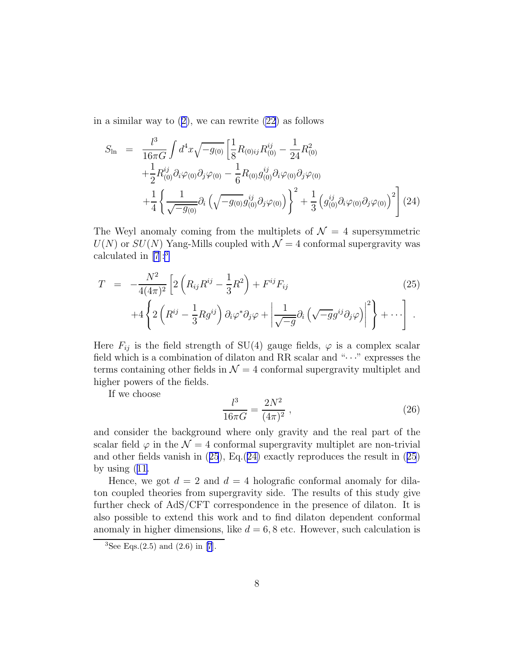ina similar way to  $(2)$  $(2)$ , we can rewrite  $(22)$  as follows

$$
S_{\text{In}} = \frac{l^3}{16\pi G} \int d^4x \sqrt{-g_{(0)}} \left[ \frac{1}{8} R_{(0)ij} R_{(0)}^{ij} - \frac{1}{24} R_{(0)}^2 \right. \left. + \frac{1}{2} R_{(0)}^{ij} \partial_i \varphi_{(0)} \partial_j \varphi_{(0)} - \frac{1}{6} R_{(0)} g_{(0)}^{ij} \partial_i \varphi_{(0)} \partial_j \varphi_{(0)} \right. \left. + \frac{1}{4} \left\{ \frac{1}{\sqrt{-g_{(0)}}} \partial_i \left( \sqrt{-g_{(0)}} g_{(0)}^{ij} \partial_j \varphi_{(0)} \right) \right\}^2 + \frac{1}{3} \left( g_{(0)}^{ij} \partial_i \varphi_{(0)} \partial_j \varphi_{(0)} \right)^2 \right] (24)
$$

The Weyl anomaly coming from the multiplets of  $\mathcal{N} = 4$  supersymmetric  $U(N)$  or  $SU(N)$  Yang-Mills coupled with  $\mathcal{N}=4$  conformal supergravity was calculated in [\[7](#page-8-0)]:<sup>3</sup>

$$
T = -\frac{N^2}{4(4\pi)^2} \left[ 2\left(R_{ij}R^{ij} - \frac{1}{3}R^2\right) + F^{ij}F_{ij} \right]
$$
  
+4\left\{ 2\left(R^{ij} - \frac{1}{3}Rg^{ij}\right)\partial\_i\varphi^\*\partial\_j\varphi + \left|\frac{1}{\sqrt{-g}}\partial\_i\left(\sqrt{-g}g^{ij}\partial\_j\varphi\right)\right|^2 \right\} + \cdots \right]. (25)

Here  $F_{ij}$  is the field strength of SU(4) gauge fields,  $\varphi$  is a complex scalar field which is a combination of dilaton and RR scalar and " $\cdots$ " expresses the terms containing other fields in  $\mathcal{N} = 4$  conformal supergravity multiplet and higher powers of the fields.

If we choose

$$
\frac{l^3}{16\pi G} = \frac{2N^2}{(4\pi)^2} \,,\tag{26}
$$

and consider the background where only gravity and the real part of the scalar field  $\varphi$  in the  $\mathcal{N} = 4$  conformal supergravity multiplet are non-trivial and other fields vanish in (25), Eq.(24) exactly reproduces the result in (25) by using([11.](#page-4-0)

Hence, we got  $d = 2$  and  $d = 4$  holografic conformal anomaly for dilaton coupled theories from supergravity side. The results of this study give further check of AdS/CFT correspondence in the presence of dilaton. It is also possible to extend this work and to find dilaton dependent conformal anomaly in higher dimensions, like  $d = 6, 8$  etc. However, such calculation is

<sup>&</sup>lt;sup>3</sup>See Eqs.(2.5) and (2.6) in [\[7](#page-8-0)].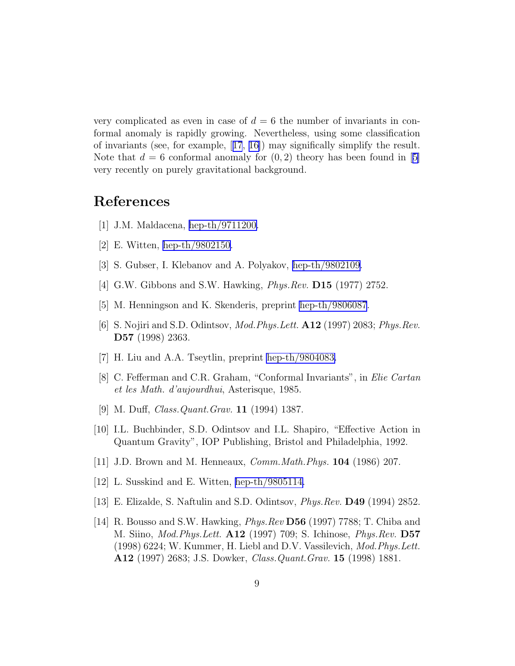<span id="page-8-0"></span>very complicated as even in case of  $d = 6$  the number of invariants in conformal anomaly is rapidly growing. Nevertheless, using some classification of invariants (see, for example,[[17](#page-9-0), [16\]](#page-9-0)) may significally simplify the result. Note that  $d = 6$  conformal anomaly for  $(0, 2)$  theory has been found in [5] very recently on purely gravitational background.

## References

- [1] J.M. Maldacena, [hep-th/9711200.](http://arxiv.org/abs/hep-th/9711200)
- [2] E. Witten, [hep-th/9802150.](http://arxiv.org/abs/hep-th/9802150)
- [3] S. Gubser, I. Klebanov and A. Polyakov, [hep-th/9802109](http://arxiv.org/abs/hep-th/9802109).
- [4] G.W. Gibbons and S.W. Hawking, *Phys.Rev.* **D15** (1977) 2752.
- [5] M. Henningson and K. Skenderis, preprint [hep-th/9806087](http://arxiv.org/abs/hep-th/9806087).
- [6] S. Nojiri and S.D. Odintsov, *Mod. Phys. Lett.* **A12** (1997) 2083; *Phys. Rev.* D57 (1998) 2363.
- [7] H. Liu and A.A. Tseytlin, preprint [hep-th/9804083.](http://arxiv.org/abs/hep-th/9804083)
- [8] C. Fefferman and C.R. Graham, "Conformal Invariants", in Elie Cartan et les Math. d'aujourdhui, Asterisque, 1985.
- [9] M. Duff, Class.Quant.Grav. 11 (1994) 1387.
- [10] I.L. Buchbinder, S.D. Odintsov and I.L. Shapiro, "Effective Action in Quantum Gravity", IOP Publishing, Bristol and Philadelphia, 1992.
- [11] J.D. Brown and M. Henneaux, *Comm. Math. Phys.* **104** (1986) 207.
- [12] L. Susskind and E. Witten, [hep-th/9805114.](http://arxiv.org/abs/hep-th/9805114)
- [13] E. Elizalde, S. Naftulin and S.D. Odintsov, Phys.Rev. D49 (1994) 2852.
- [14] R. Bousso and S.W. Hawking, Phys.Rev D56 (1997) 7788; T. Chiba and M. Siino, Mod.Phys.Lett. A12 (1997) 709; S. Ichinose, Phys.Rev. D57 (1998) 6224; W. Kummer, H. Liebl and D.V. Vassilevich, Mod.Phys.Lett. A12 (1997) 2683; J.S. Dowker, Class.Quant.Grav. 15 (1998) 1881.